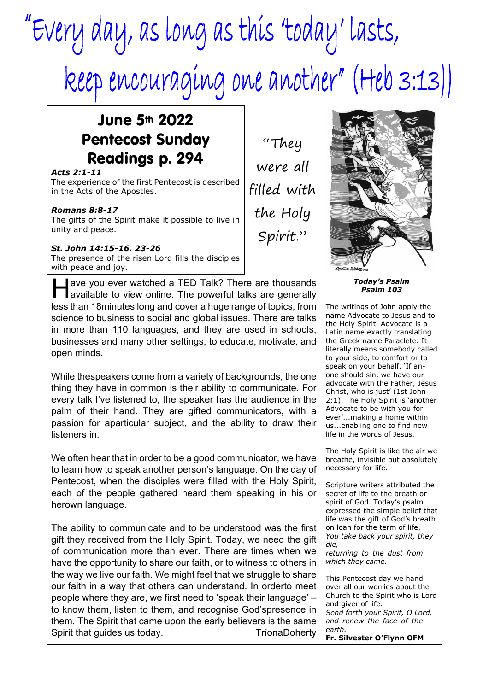# "Every day, as long as this 'today' lasts, keep encouraging one another" (Heb 3:13))

## June 5th 2022 Pentecost Sunday Readings p. 294

#### *Acts 2:1-11*

The experience of the first Pentecost is described in the Acts of the Apostles.

### *Romans 8:8-17*

The gifts of the Spirit make it possible to live in unity and peace.

#### *St. John 14:15-16. 23-26*

The presence of the risen Lord fills the disciples with peace and joy.

**A** ave you ever watched a TED Talk? There are thousands<br>available to view online. The powerful talks are generally ave you ever watched a TED Talk? There are thousands less than 18minutes long and cover a huge range of topics, from science to business to social and global issues. There are talks in more than 110 languages, and they are used in schools, businesses and many other settings, to educate, motivate, and open minds.

While thespeakers come from a variety of backgrounds, the one thing they have in common is their ability to communicate. For every talk I've listened to, the speaker has the audience in the palm of their hand. They are gifted communicators, with a passion for aparticular subject, and the ability to draw their listeners in.

We often hear that in order to be a good communicator, we have to learn how to speak another person's language. On the day of Pentecost, when the disciples were filled with the Holy Spirit, each of the people gathered heard them speaking in his or herown language.

The ability to communicate and to be understood was the first gift they received from the Holy Spirit. Today, we need the gift of communication more than ever. There are times when we have the opportunity to share our faith, or to witness to others in the way we live our faith. We might feel that we struggle to share our faith in a way that others can understand. In orderto meet people where they are, we first need to 'speak their language' – to know them, listen to them, and recognise God'spresence in them. The Spirit that came upon the early believers is the same Spirit that guides us today. TríonaDoherty

"They were all filled with the Holy Spirit."



*Today's Psalm Psalm 103*

The writings of John apply the name Advocate to Jesus and to the Holy Spirit. Advocate is a Latin name exactly translating the Greek name Paraclete. It literally means somebody called to your side, to comfort or to speak on your behalf. 'If anone should sin, we have our advocate with the Father, Jesus Christ, who is just' (1st John 2:1). The Holy Spirit is 'another Advocate to be with you for ever'...making a home within us...enabling one to find new life in the words of Jesus.

The Holy Spirit is like the air we breathe, invisible but absolutely necessary for life.

Scripture writers attributed the secret of life to the breath or spirit of God. Today's psalm expressed the simple belief that life was the gift of God's breath on loan for the term of life. *You take back your spirit, they die, returning to the dust from*

*which they came.*

This Pentecost day we hand over all our worries about the Church to the Spirit who is Lord and giver of life. *Send forth your Spirit, O Lord, and renew the face of the earth.* **Fr. Silvester O'Flynn OFM**